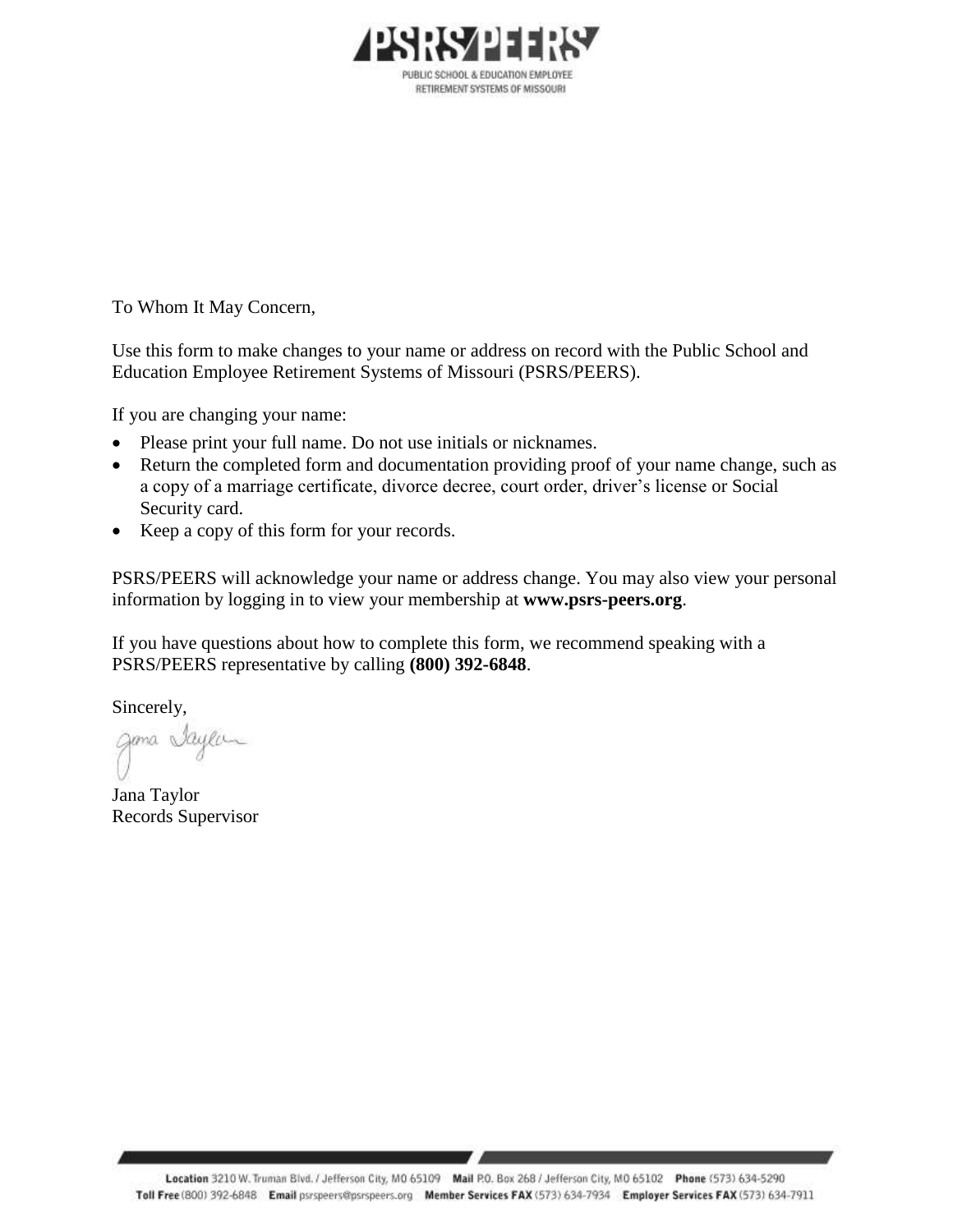

To Whom It May Concern,

Use this form to make changes to your name or address on record with the Public School and Education Employee Retirement Systems of Missouri (PSRS/PEERS).

If you are changing your name:

- Please print your full name. Do not use initials or nicknames.
- Return the completed form and documentation providing proof of your name change, such as a copy of a marriage certificate, divorce decree, court order, driver's license or Social Security card.
- Keep a copy of this form for your records.

PSRS/PEERS will acknowledge your name or address change. You may also view your personal information by logging in to view your membership at **www.psrs-peers.org**.

If you have questions about how to complete this form, we recommend speaking with a PSRS/PEERS representative by calling **(800) 392-6848**.

Sincerely,

gama Saylan

Jana Taylor Records Supervisor